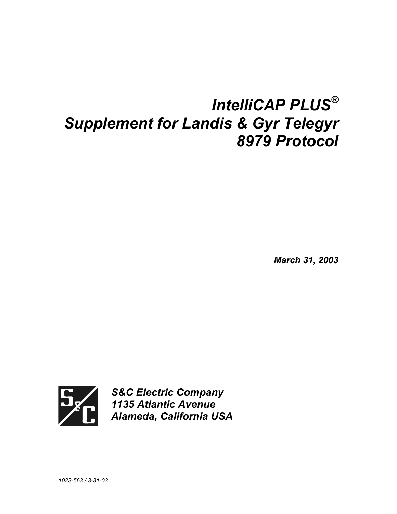# *IntelliCAP PLUS® Supplement for Landis & Gyr Telegyr 8979 Protocol*

*March 31, 2003* 



*S&C Electric Company 1135 Atlantic Avenue Alameda, California USA*

*1023-563 / 3-31-03*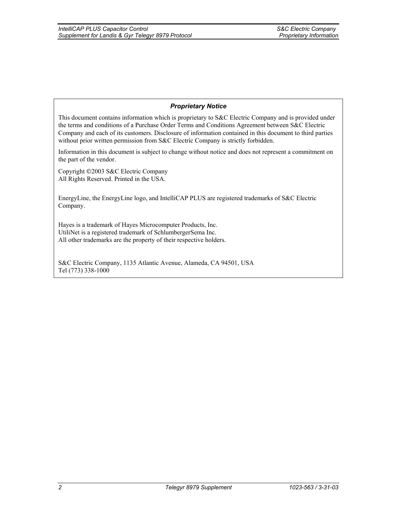#### *Proprietary Notice*

This document contains information which is proprietary to S&C Electric Company and is provided under the terms and conditions of a Purchase Order Terms and Conditions Agreement between S&C Electric Company and each of its customers. Disclosure of information contained in this document to third parties without prior written permission from S&C Electric Company is strictly forbidden.

Information in this document is subject to change without notice and does not represent a commitment on the part of the vendor.

Copyright 2003 S&C Electric Company All Rights Reserved. Printed in the USA.

EnergyLine, the EnergyLine logo, and IntelliCAP PLUS are registered trademarks of S&C Electric Company.

Hayes is a trademark of Hayes Microcomputer Products, Inc. UtiliNet is a registered trademark of SchlumbergerSema Inc. All other trademarks are the property of their respective holders.

S&C Electric Company, 1135 Atlantic Avenue, Alameda, CA 94501, USA Tel (773) 338-1000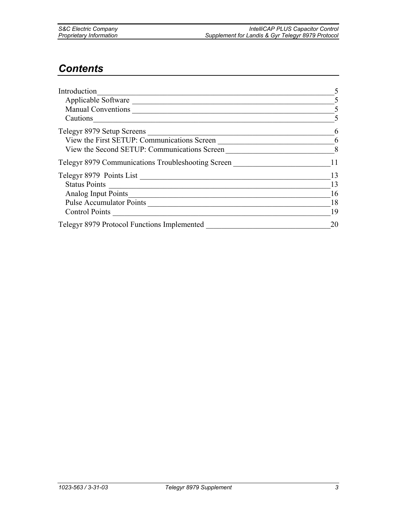| <b>S&amp;C Electric Company</b> |  |
|---------------------------------|--|
| <b>Proprietary Information</b>  |  |

# *Contents*

| Introduction                                       |    |
|----------------------------------------------------|----|
| Applicable Software                                |    |
| <b>Manual Conventions</b>                          |    |
| Cautions                                           |    |
| Telegyr 8979 Setup Screens                         |    |
| View the First SETUP: Communications Screen        | 6  |
| View the Second SETUP: Communications Screen       |    |
| Telegyr 8979 Communications Troubleshooting Screen |    |
| Telegyr 8979 Points List                           | 13 |
| <b>Status Points</b>                               | 13 |
| Analog Input Points                                | 16 |
| <b>Pulse Accumulator Points</b>                    | 18 |
| <b>Control Points</b>                              | 19 |
| Telegyr 8979 Protocol Functions Implemented        | 20 |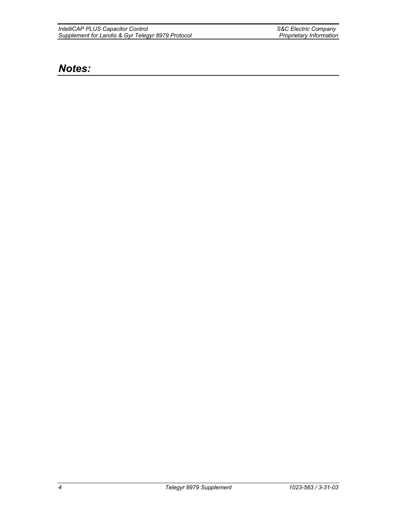*IntelliCAP PLUS Capacitor Control S&C Electric Company Supplement for Landis & Gyr Telegyr 8979 Protocol Proprietary Information* 

# *Notes:*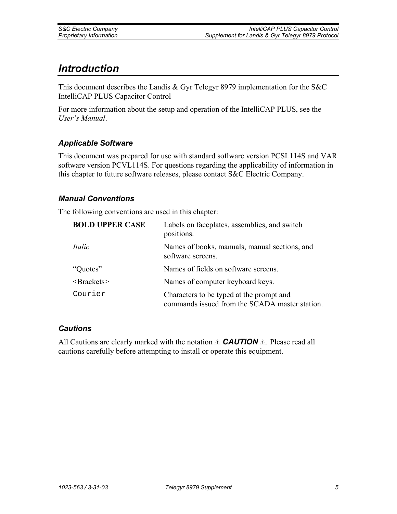# *Introduction*

This document describes the Landis & Gyr Telegyr 8979 implementation for the S&C IntelliCAP PLUS Capacitor Control

For more information about the setup and operation of the IntelliCAP PLUS, see the *User's Manual*.

### *Applicable Software*

This document was prepared for use with standard software version PCSL114S and VAR software version PCVL114S. For questions regarding the applicability of information in this chapter to future software releases, please contact S&C Electric Company.

### *Manual Conventions*

The following conventions are used in this chapter:

| <b>BOLD UPPER CASE</b> | Labels on faceplates, assemblies, and switch<br>positions.                                 |
|------------------------|--------------------------------------------------------------------------------------------|
| Italic                 | Names of books, manuals, manual sections, and<br>software screens.                         |
| "Quotes"               | Names of fields on software screens.                                                       |
| $\langle$ Brackets $>$ | Names of computer keyboard keys.                                                           |
| Courier                | Characters to be typed at the prompt and<br>commands issued from the SCADA master station. |

#### *Cautions*

All Cautions are clearly marked with the notation  $\triangle$  **CAUTION**  $\triangle$ . Please read all cautions carefully before attempting to install or operate this equipment.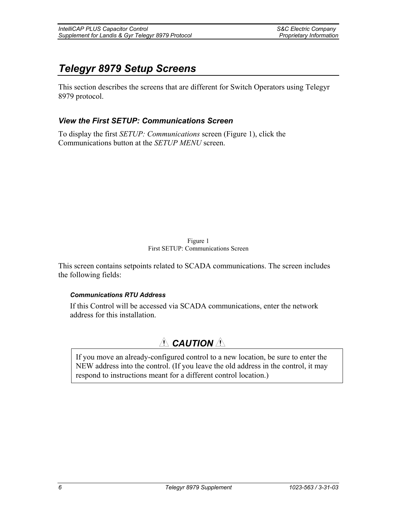# *Telegyr 8979 Setup Screens*

This section describes the screens that are different for Switch Operators using Telegyr 8979 protocol.

### *View the First SETUP: Communications Screen*

To display the first *SETUP: Communications* screen (Figure 1), click the Communications button at the *SETUP MENU* screen.

#### Figure 1 First SETUP: Communications Screen

This screen contains setpoints related to SCADA communications. The screen includes the following fields:

#### *Communications RTU Address*

If this Control will be accessed via SCADA communications, enter the network address for this installation.

# $\triangle$  **CAUTION**  $\triangle$

If you move an already-configured control to a new location, be sure to enter the NEW address into the control. (If you leave the old address in the control, it may respond to instructions meant for a different control location.)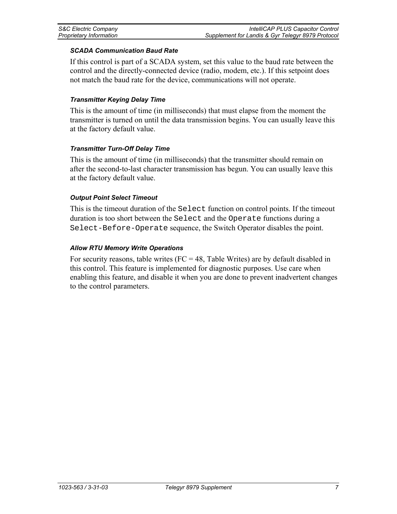#### *SCADA Communication Baud Rate*

If this control is part of a SCADA system, set this value to the baud rate between the control and the directly-connected device (radio, modem, etc.). If this setpoint does not match the baud rate for the device, communications will not operate.

#### *Transmitter Keying Delay Time*

This is the amount of time (in milliseconds) that must elapse from the moment the transmitter is turned on until the data transmission begins. You can usually leave this at the factory default value.

#### *Transmitter Turn-Off Delay Time*

This is the amount of time (in milliseconds) that the transmitter should remain on after the second-to-last character transmission has begun. You can usually leave this at the factory default value.

#### *Output Point Select Timeout*

This is the timeout duration of the Select function on control points. If the timeout duration is too short between the Select and the Operate functions during a Select-Before-Operate sequence, the Switch Operator disables the point.

#### *Allow RTU Memory Write Operations*

For security reasons, table writes ( $FC = 48$ , Table Writes) are by default disabled in this control. This feature is implemented for diagnostic purposes. Use care when enabling this feature, and disable it when you are done to prevent inadvertent changes to the control parameters.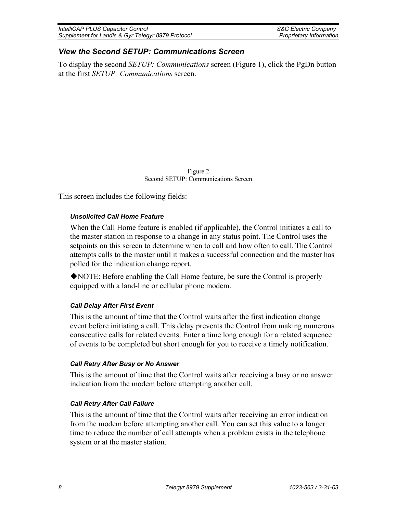| IntelliCAP PLUS Capacitor Control                 | <b>S&amp;C Electric Company</b> |
|---------------------------------------------------|---------------------------------|
| Supplement for Landis & Gyr Telegyr 8979 Protocol | Proprietary Information         |

### *View the Second SETUP: Communications Screen*

To display the second *SETUP: Communications* screen (Figure 1), click the PgDn button at the first *SETUP: Communications* screen.

> Figure 2 Second SETUP: Communications Screen

This screen includes the following fields:

#### *Unsolicited Call Home Feature*

When the Call Home feature is enabled (if applicable), the Control initiates a call to the master station in response to a change in any status point. The Control uses the setpoints on this screen to determine when to call and how often to call. The Control attempts calls to the master until it makes a successful connection and the master has polled for the indication change report.

NOTE: Before enabling the Call Home feature, be sure the Control is properly equipped with a land-line or cellular phone modem.

#### *Call Delay After First Event*

This is the amount of time that the Control waits after the first indication change event before initiating a call. This delay prevents the Control from making numerous consecutive calls for related events. Enter a time long enough for a related sequence of events to be completed but short enough for you to receive a timely notification.

#### *Call Retry After Busy or No Answer*

This is the amount of time that the Control waits after receiving a busy or no answer indication from the modem before attempting another call.

#### *Call Retry After Call Failure*

This is the amount of time that the Control waits after receiving an error indication from the modem before attempting another call. You can set this value to a longer time to reduce the number of call attempts when a problem exists in the telephone system or at the master station.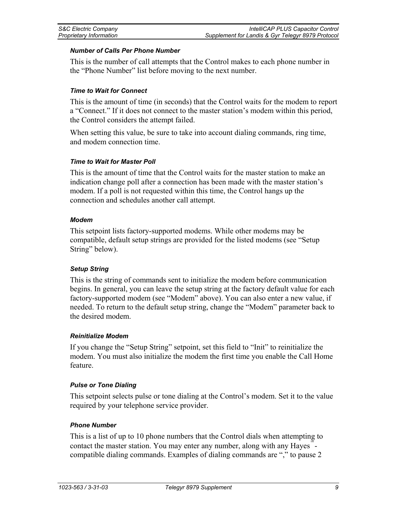#### *Number of Calls Per Phone Number*

This is the number of call attempts that the Control makes to each phone number in the "Phone Number" list before moving to the next number.

#### *Time to Wait for Connect*

This is the amount of time (in seconds) that the Control waits for the modem to report a "Connect." If it does not connect to the master station's modem within this period, the Control considers the attempt failed.

When setting this value, be sure to take into account dialing commands, ring time, and modem connection time.

#### *Time to Wait for Master Poll*

This is the amount of time that the Control waits for the master station to make an indication change poll after a connection has been made with the master station's modem. If a poll is not requested within this time, the Control hangs up the connection and schedules another call attempt.

#### *Modem*

This setpoint lists factory-supported modems. While other modems may be compatible, default setup strings are provided for the listed modems (see "Setup String" below).

#### *Setup String*

This is the string of commands sent to initialize the modem before communication begins. In general, you can leave the setup string at the factory default value for each factory-supported modem (see "Modem" above). You can also enter a new value, if needed. To return to the default setup string, change the "Modem" parameter back to the desired modem.

#### *Reinitialize Modem*

If you change the "Setup String" setpoint, set this field to "Init" to reinitialize the modem. You must also initialize the modem the first time you enable the Call Home feature.

#### *Pulse or Tone Dialing*

This setpoint selects pulse or tone dialing at the Control's modem. Set it to the value required by your telephone service provider.

#### *Phone Number*

This is a list of up to 10 phone numbers that the Control dials when attempting to contact the master station. You may enter any number, along with any Hayes<sup>"</sup>compatible dialing commands. Examples of dialing commands are "," to pause 2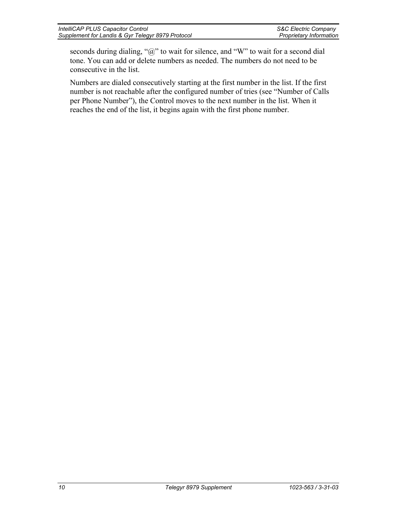| IntelliCAP PLUS Capacitor Control                 | <b>S&amp;C Electric Company</b> |
|---------------------------------------------------|---------------------------------|
| Supplement for Landis & Gyr Telegyr 8979 Protocol | Proprietary Information         |

seconds during dialing, "@" to wait for silence, and "W" to wait for a second dial tone. You can add or delete numbers as needed. The numbers do not need to be consecutive in the list.

Numbers are dialed consecutively starting at the first number in the list. If the first number is not reachable after the configured number of tries (see "Number of Calls per Phone Number"), the Control moves to the next number in the list. When it reaches the end of the list, it begins again with the first phone number.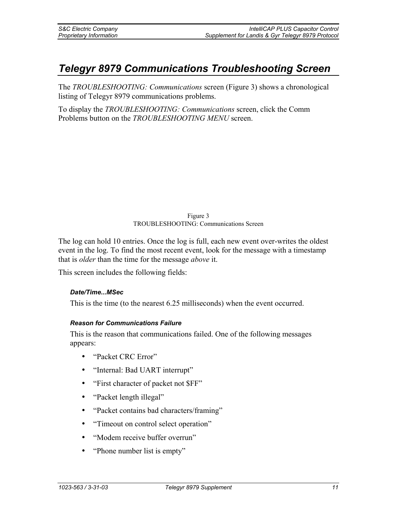# *Telegyr 8979 Communications Troubleshooting Screen*

The *TROUBLESHOOTING: Communications* screen (Figure 3) shows a chronological listing of Telegyr 8979 communications problems.

To display the *TROUBLESHOOTING: Communications* screen, click the Comm Problems button on the *TROUBLESHOOTING MENU* screen.

#### Figure 3 TROUBLESHOOTING: Communications Screen

The log can hold 10 entries. Once the log is full, each new event over-writes the oldest event in the log. To find the most recent event, look for the message with a timestamp that is *older* than the time for the message *above* it.

This screen includes the following fields:

#### *Date/Time...MSec*

This is the time (to the nearest 6.25 milliseconds) when the event occurred.

#### *Reason for Communications Failure*

This is the reason that communications failed. One of the following messages appears:

- "Packet CRC Error"
- "Internal: Bad UART interrupt"
- "First character of packet not \$FF"
- "Packet length illegal"
- "Packet contains bad characters/framing"
- "Timeout on control select operation"
- "Modem receive buffer overrun"
- "Phone number list is empty"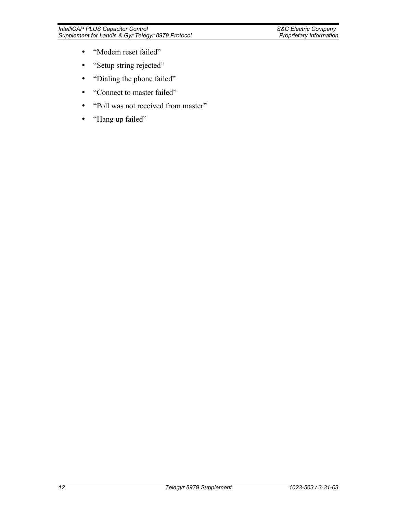- "Modem reset failed"
- "Setup string rejected"
- "Dialing the phone failed"
- "Connect to master failed"
- "Poll was not received from master"
- "Hang up failed"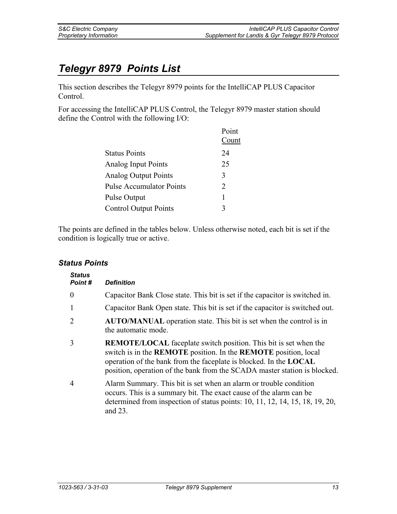# *Telegyr 8979 Points List*

This section describes the Telegyr 8979 points for the IntelliCAP PLUS Capacitor Control.

For accessing the IntelliCAP PLUS Control, the Telegyr 8979 master station should define the Control with the following I/O:

|                                 | Point |
|---------------------------------|-------|
|                                 | Count |
| <b>Status Points</b>            | 24    |
| <b>Analog Input Points</b>      | 25    |
| <b>Analog Output Points</b>     | 3     |
| <b>Pulse Accumulator Points</b> | 2     |
| Pulse Output                    | 1     |
| <b>Control Output Points</b>    | 3     |

The points are defined in the tables below. Unless otherwise noted, each bit is set if the condition is logically true or active.

### *Status Points*

| <b>Status</b><br>Point# | <b>Definition</b>                                                                                                                                                                                                                                                                                                 |
|-------------------------|-------------------------------------------------------------------------------------------------------------------------------------------------------------------------------------------------------------------------------------------------------------------------------------------------------------------|
| $\theta$                | Capacitor Bank Close state. This bit is set if the capacitor is switched in.                                                                                                                                                                                                                                      |
| 1                       | Capacitor Bank Open state. This bit is set if the capacitor is switched out.                                                                                                                                                                                                                                      |
| 2                       | <b>AUTO/MANUAL</b> operation state. This bit is set when the control is in<br>the automatic mode.                                                                                                                                                                                                                 |
| 3                       | <b>REMOTE/LOCAL</b> faceplate switch position. This bit is set when the<br>switch is in the <b>REMOTE</b> position. In the <b>REMOTE</b> position, local<br>operation of the bank from the faceplate is blocked. In the <b>LOCAL</b><br>position, operation of the bank from the SCADA master station is blocked. |
| $\overline{4}$          | Alarm Summary. This bit is set when an alarm or trouble condition<br>occurs. This is a summary bit. The exact cause of the alarm can be<br>determined from inspection of status points: 10, 11, 12, 14, 15, 18, 19, 20,<br>and $23$ .                                                                             |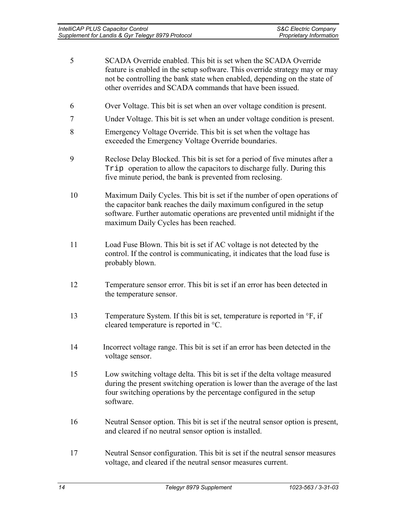| SCADA Override enabled. This bit is set when the SCADA Override             |
|-----------------------------------------------------------------------------|
| feature is enabled in the setup software. This override strategy may or may |
| not be controlling the bank state when enabled, depending on the state of   |
| other overrides and SCADA commands that have been issued.                   |
|                                                                             |

- 6 Over Voltage. This bit is set when an over voltage condition is present.
- 7 Under Voltage. This bit is set when an under voltage condition is present.
- 8 Emergency Voltage Override. This bit is set when the voltage has exceeded the Emergency Voltage Override boundaries.
- 9 Reclose Delay Blocked. This bit is set for a period of five minutes after a Trip operation to allow the capacitors to discharge fully. During this five minute period, the bank is prevented from reclosing.
- 10 Maximum Daily Cycles. This bit is set if the number of open operations of the capacitor bank reaches the daily maximum configured in the setup software. Further automatic operations are prevented until midnight if the maximum Daily Cycles has been reached.
- 11 Load Fuse Blown. This bit is set if AC voltage is not detected by the control. If the control is communicating, it indicates that the load fuse is probably blown.
- 12 Temperature sensor error. This bit is set if an error has been detected in the temperature sensor.
- 13 Temperature System. If this bit is set, temperature is reported in °F, if cleared temperature is reported in °C.
- 14 Incorrect voltage range. This bit is set if an error has been detected in the voltage sensor.
- 15 Low switching voltage delta. This bit is set if the delta voltage measured during the present switching operation is lower than the average of the last four switching operations by the percentage configured in the setup software.
- 16 Neutral Sensor option. This bit is set if the neutral sensor option is present, and cleared if no neutral sensor option is installed.
- 17 Neutral Sensor configuration. This bit is set if the neutral sensor measures voltage, and cleared if the neutral sensor measures current.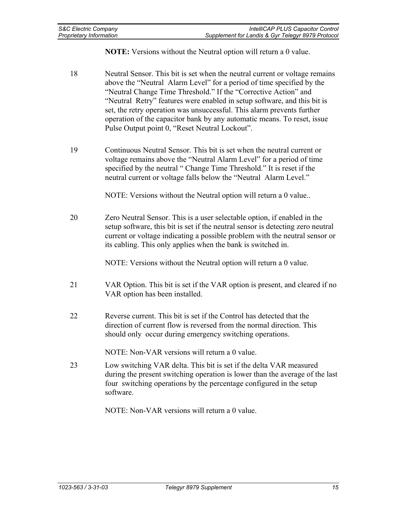**NOTE:** Versions without the Neutral option will return a 0 value.

- 18 Neutral Sensor. This bit is set when the neutral current or voltage remains above the "Neutral Alarm Level" for a period of time specified by the "Neutral Change Time Threshold." If the "Corrective Action" and "Neutral Retry" features were enabled in setup software, and this bit is set, the retry operation was unsuccessful. This alarm prevents further operation of the capacitor bank by any automatic means. To reset, issue Pulse Output point 0, "Reset Neutral Lockout".
- 19 Continuous Neutral Sensor. This bit is set when the neutral current or voltage remains above the "Neutral Alarm Level" for a period of time specified by the neutral " Change Time Threshold." It is reset if the neutral current or voltage falls below the "Neutral Alarm Level."

NOTE: Versions without the Neutral option will return a 0 value..

20 Zero Neutral Sensor. This is a user selectable option, if enabled in the setup software, this bit is set if the neutral sensor is detecting zero neutral current or voltage indicating a possible problem with the neutral sensor or its cabling. This only applies when the bank is switched in.

NOTE: Versions without the Neutral option will return a 0 value.

- 21 VAR Option. This bit is set if the VAR option is present, and cleared if no VAR option has been installed.
- 22 Reverse current. This bit is set if the Control has detected that the direction of current flow is reversed from the normal direction. This should only occur during emergency switching operations.

NOTE: Non-VAR versions will return a 0 value.

23 Low switching VAR delta. This bit is set if the delta VAR measured during the present switching operation is lower than the average of the last four switching operations by the percentage configured in the setup software.

NOTE: Non-VAR versions will return a 0 value.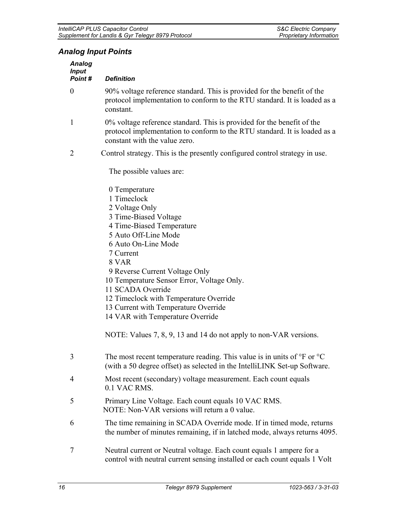## *Analog Input Points*

| <b>Analog</b><br><b>Input</b><br>Point# | <b>Definition</b>                                                                                                                                                                                                                                                                                                                                                                                                                                                         |
|-----------------------------------------|---------------------------------------------------------------------------------------------------------------------------------------------------------------------------------------------------------------------------------------------------------------------------------------------------------------------------------------------------------------------------------------------------------------------------------------------------------------------------|
| $\boldsymbol{0}$                        | 90% voltage reference standard. This is provided for the benefit of the<br>protocol implementation to conform to the RTU standard. It is loaded as a<br>constant.                                                                                                                                                                                                                                                                                                         |
| $\mathbf{1}$                            | 0% voltage reference standard. This is provided for the benefit of the<br>protocol implementation to conform to the RTU standard. It is loaded as a<br>constant with the value zero.                                                                                                                                                                                                                                                                                      |
| $\overline{2}$                          | Control strategy. This is the presently configured control strategy in use.                                                                                                                                                                                                                                                                                                                                                                                               |
|                                         | The possible values are:                                                                                                                                                                                                                                                                                                                                                                                                                                                  |
|                                         | 0 Temperature<br>1 Timeclock<br>2 Voltage Only<br>3 Time-Biased Voltage<br>4 Time-Biased Temperature<br>5 Auto Off-Line Mode<br>6 Auto On-Line Mode<br>7 Current<br>8 VAR<br>9 Reverse Current Voltage Only<br>10 Temperature Sensor Error, Voltage Only.<br>11 SCADA Override<br>12 Timeclock with Temperature Override<br>13 Current with Temperature Override<br>14 VAR with Temperature Override<br>NOTE: Values 7, 8, 9, 13 and 14 do not apply to non-VAR versions. |
| 3                                       | The most recent temperature reading. This value is in units of $\rm{^{\circ}F}$ or $\rm{^{\circ}C}$<br>(with a 50 degree offset) as selected in the IntelliLINK Set-up Software.                                                                                                                                                                                                                                                                                          |
| 4                                       | Most recent (secondary) voltage measurement. Each count equals<br>0.1 VAC RMS.                                                                                                                                                                                                                                                                                                                                                                                            |
| 5                                       | Primary Line Voltage. Each count equals 10 VAC RMS.<br>NOTE: Non-VAR versions will return a 0 value.                                                                                                                                                                                                                                                                                                                                                                      |
| 6                                       | The time remaining in SCADA Override mode. If in timed mode, returns<br>the number of minutes remaining, if in latched mode, always returns 4095.                                                                                                                                                                                                                                                                                                                         |
| $\overline{7}$                          | Neutral current or Neutral voltage. Each count equals 1 ampere for a<br>control with neutral current sensing installed or each count equals 1 Volt                                                                                                                                                                                                                                                                                                                        |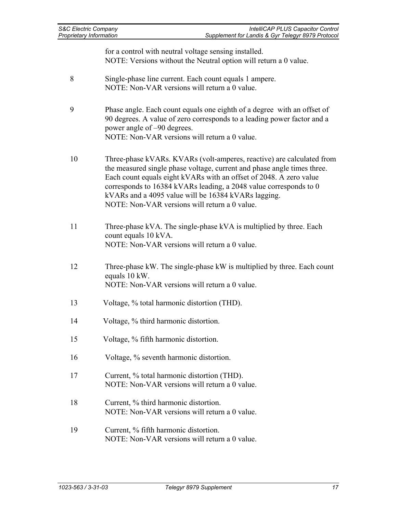| <b>S&amp;C Electric Company</b><br>Proprietary Information | IntelliCAP PLUS Capacitor Control<br>Supplement for Landis & Gyr Telegyr 8979 Protocol                                                                                                                                                                                                                                                                                                              |  |
|------------------------------------------------------------|-----------------------------------------------------------------------------------------------------------------------------------------------------------------------------------------------------------------------------------------------------------------------------------------------------------------------------------------------------------------------------------------------------|--|
|                                                            | for a control with neutral voltage sensing installed.<br>NOTE: Versions without the Neutral option will return a 0 value.                                                                                                                                                                                                                                                                           |  |
| 8                                                          | Single-phase line current. Each count equals 1 ampere.<br>NOTE: Non-VAR versions will return a 0 value.                                                                                                                                                                                                                                                                                             |  |
| 9                                                          | Phase angle. Each count equals one eighth of a degree with an offset of<br>90 degrees. A value of zero corresponds to a leading power factor and a<br>power angle of -90 degrees.<br>NOTE: Non-VAR versions will return a 0 value.                                                                                                                                                                  |  |
| 10                                                         | Three-phase kVARs. KVARs (volt-amperes, reactive) are calculated from<br>the measured single phase voltage, current and phase angle times three.<br>Each count equals eight kVARs with an offset of 2048. A zero value<br>corresponds to 16384 kVARs leading, a 2048 value corresponds to 0<br>kVARs and a 4095 value will be 16384 kVARs lagging.<br>NOTE: Non-VAR versions will return a 0 value. |  |
| 11                                                         | Three-phase kVA. The single-phase kVA is multiplied by three. Each<br>count equals 10 kVA.<br>NOTE: Non-VAR versions will return a 0 value.                                                                                                                                                                                                                                                         |  |
| 12                                                         | Three-phase kW. The single-phase kW is multiplied by three. Each count<br>equals 10 kW.<br>NOTE: Non-VAR versions will return a 0 value.                                                                                                                                                                                                                                                            |  |
| 13                                                         | Voltage, % total harmonic distortion (THD).                                                                                                                                                                                                                                                                                                                                                         |  |
| 14                                                         | Voltage, % third harmonic distortion.                                                                                                                                                                                                                                                                                                                                                               |  |
| 15                                                         | Voltage, % fifth harmonic distortion.                                                                                                                                                                                                                                                                                                                                                               |  |
| 16                                                         | Voltage, % seventh harmonic distortion.                                                                                                                                                                                                                                                                                                                                                             |  |
| 17                                                         | Current, % total harmonic distortion (THD).<br>NOTE: Non-VAR versions will return a 0 value.                                                                                                                                                                                                                                                                                                        |  |
| 18                                                         | Current, % third harmonic distortion.<br>NOTE: Non-VAR versions will return a 0 value.                                                                                                                                                                                                                                                                                                              |  |
| 19                                                         | Current, % fifth harmonic distortion.<br>NOTE: Non-VAR versions will return a 0 value.                                                                                                                                                                                                                                                                                                              |  |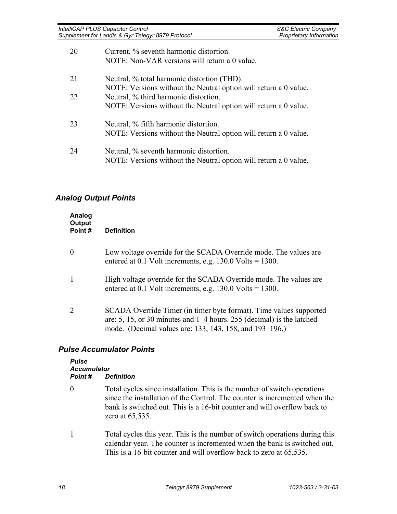| IntelliCAP PLUS Capacitor Control                 | <b>S&amp;C Electric Company</b> |
|---------------------------------------------------|---------------------------------|
| Supplement for Landis & Gyr Telegyr 8979 Protocol | <b>Proprietary Information</b>  |

| 20 | Current, % seventh harmonic distortion.<br>NOTE: Non-VAR versions will return a 0 value.                        |
|----|-----------------------------------------------------------------------------------------------------------------|
| 21 | Neutral, % total harmonic distortion (THD).<br>NOTE: Versions without the Neutral option will return a 0 value. |
| 22 | Neutral, % third harmonic distortion.                                                                           |
|    | NOTE: Versions without the Neutral option will return a 0 value.                                                |
| 23 | Neutral, % fifth harmonic distortion.                                                                           |
|    | NOTE: Versions without the Neutral option will return a 0 value.                                                |
| 24 | Neutral, % seventh harmonic distortion.<br>NOTE: Versions without the Neutral option will return a 0 value.     |

### *Analog Output Points*

| Analog<br>Output<br>Point# | <b>Definition</b>                                                                                                                                                                                        |
|----------------------------|----------------------------------------------------------------------------------------------------------------------------------------------------------------------------------------------------------|
|                            | Low voltage override for the SCADA Override mode. The values are<br>entered at 0.1 Volt increments, e.g. $130.0$ Volts = $1300$ .                                                                        |
|                            | High voltage override for the SCADA Override mode. The values are<br>entered at 0.1 Volt increments, e.g. $130.0$ Volts = $1300$ .                                                                       |
|                            | SCADA Override Timer (in timer byte format). Time values supported<br>are: 5, 15, or 30 minutes and $1-4$ hours. 255 (decimal) is the latched<br>mode. (Decimal values are: 133, 143, 158, and 193–196.) |

### *Pulse Accumulator Points*

| <b>Pulse</b>       |                   |  |  |
|--------------------|-------------------|--|--|
| <b>Accumulator</b> |                   |  |  |
| Point #            | <b>Definition</b> |  |  |

- 0 Total cycles since installation. This is the number of switch operations since the installation of the Control. The counter is incremented when the bank is switched out. This is a 16-bit counter and will overflow back to zero at 65,535.
- 1 Total cycles this year. This is the number of switch operations during this calendar year. The counter is incremented when the bank is switched out. This is a 16-bit counter and will overflow back to zero at 65,535.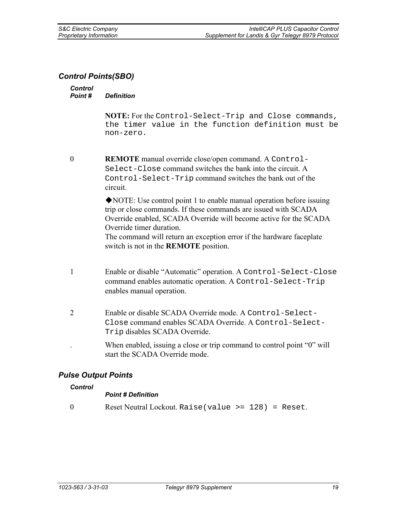### *Control Points(SBO)*

#### *Control Point # Definition*

**NOTE:** For the Control-Select-Trip and Close commands, the timer value in the function definition must be non-zero.

0 **REMOTE** manual override close/open command. A Control-Select-Close command switches the bank into the circuit. A Control-Select-Trip command switches the bank out of the circuit.

> NOTE: Use control point 1 to enable manual operation before issuing trip or close commands. If these commands are issued with SCADA Override enabled, SCADA Override will become active for the SCADA Override timer duration.

The command will return an exception error if the hardware faceplate switch is not in the **REMOTE** position.

- 1 Enable or disable "Automatic" operation. A Control-Select-Close command enables automatic operation. A Control-Select-Trip enables manual operation.
- 2 Enable or disable SCADA Override mode. A Control-Select-Close command enables SCADA Override. A Control-Select-Trip disables SCADA Override.
	- When enabled, issuing a close or trip command to control point "0" will start the SCADA Override mode.

### *Pulse Output Points*

#### *Control*

#### *Point # Definition*

0 Reset Neutral Lockout. Raise(value >= 128) = Reset.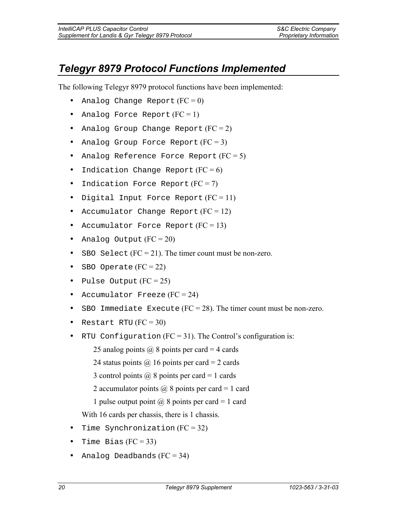# *Telegyr 8979 Protocol Functions Implemented*

The following Telegyr 8979 protocol functions have been implemented:

- Analog Change Report  $(FC = 0)$
- Analog Force Report  $(FC = 1)$
- Analog Group Change Report  $(FC = 2)$
- Analog Group Force Report  $(FC = 3)$
- Analog Reference Force Report  $(FC = 5)$
- Indication Change Report  $(FC = 6)$
- Indication Force Report  $(FC = 7)$
- Digital Input Force Report  $(FC = 11)$
- Accumulator Change Report  $(FC = 12)$
- Accumulator Force Report  $(FC = 13)$
- Analog Output  $(FC = 20)$
- SBO Select  $(FC = 21)$ . The timer count must be non-zero.
- SBO Operate  $(FC = 22)$
- Pulse Output  $(FC = 25)$
- Accumulator Freeze  $(FC = 24)$
- SBO Immediate Execute  $(FC = 28)$ . The timer count must be non-zero.
- Restart RTU  $(FC = 30)$
- RTU Configuration  $(FC = 31)$ . The Control's configuration is:

25 analog points  $\omega$  8 points per card = 4 cards

24 status points  $\omega$  16 points per card = 2 cards

- 3 control points  $\omega$  8 points per card = 1 cards
- 2 accumulator points  $\omega$  8 points per card = 1 card
- 1 pulse output point  $\omega$  8 points per card = 1 card

With 16 cards per chassis, there is 1 chassis.

- Time Synchronization  $(FC = 32)$
- Time Bias  $(FC = 33)$
- Analog Deadbands  $(FC = 34)$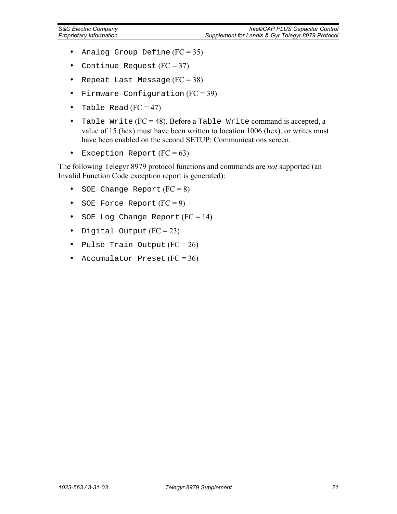- Analog Group Define  $(FC = 35)$
- Continue Request  $(FC = 37)$
- Repeat Last Message  $(FC = 38)$
- Firmware Configuration  $(FC = 39)$
- Table Read  $(FC = 47)$
- Table Write (FC = 48). Before a Table Write command is accepted, a value of 15 (hex) must have been written to location 1006 (hex), or writes must have been enabled on the second SETUP: Communications screen.
- Exception Report  $(FC = 63)$

The following Telegyr 8979 protocol functions and commands are *not* supported (an Invalid Function Code exception report is generated):

- SOE Change Report  $(FC = 8)$
- SOE Force Report  $(FC = 9)$
- SOE Log Change Report  $(FC = 14)$
- Digital Output  $(FC = 23)$
- Pulse Train Output  $(FC = 26)$
- Accumulator Preset  $(FC = 36)$